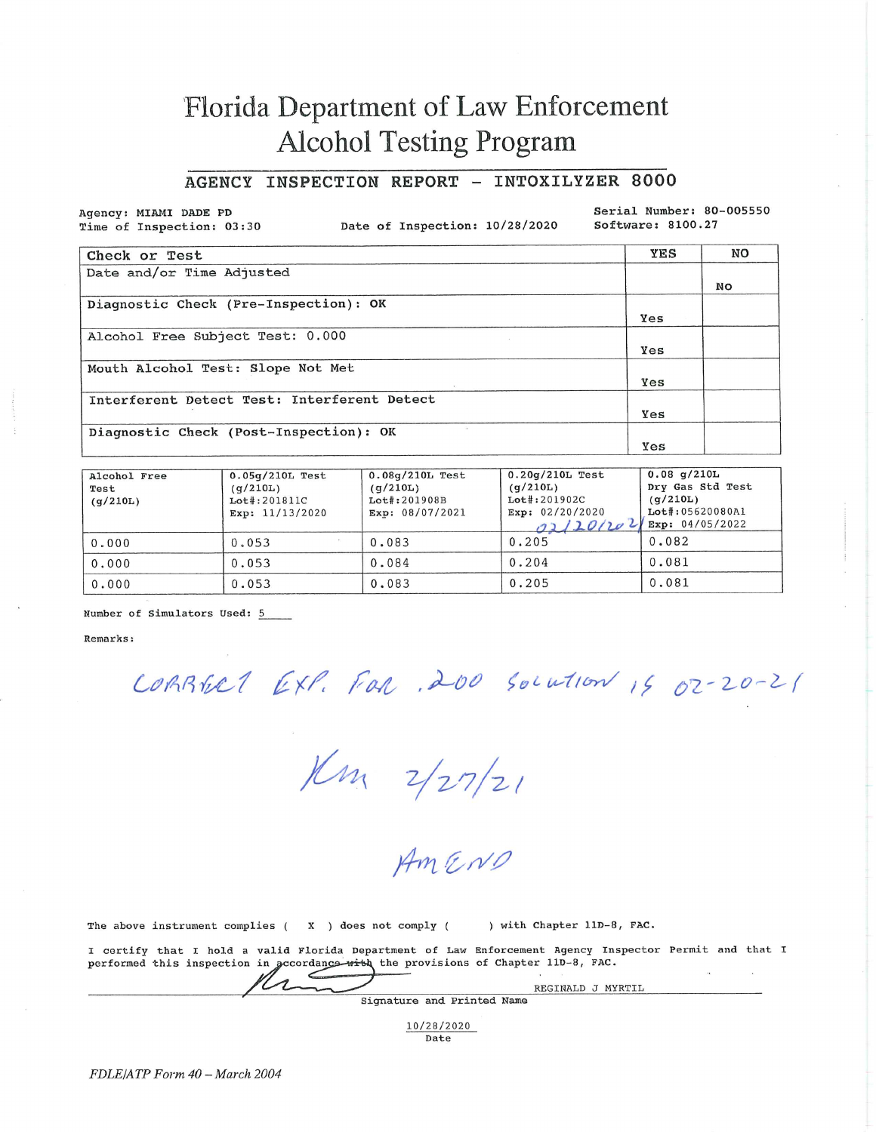# Florida Department of Law Enforcement **Alcohol Testing Program**

## AGENCY INSPECTION REPORT - INTOXILYZER 8000

Agency: MIAMI DADE PD Time of Inspection: 03:30

Date of Inspection: 10/28/2020

Serial Number: 80-005550 Software: 8100.27

| Check or Test                               | YES | NO |
|---------------------------------------------|-----|----|
| Date and/or Time Adjusted                   |     |    |
|                                             |     | No |
| Diagnostic Check (Pre-Inspection): OK       |     |    |
|                                             | Yes |    |
| Alcohol Free Subject Test: 0.000            |     |    |
|                                             | Yes |    |
| Mouth Alcohol Test: Slope Not Met           |     |    |
|                                             | Yes |    |
| Interferent Detect Test: Interferent Detect |     |    |
|                                             | Yes |    |
| Diagnostic Check (Post-Inspection): OK      |     |    |
|                                             | Yes |    |

| Alcohol Free<br>Test<br>(q/210L) | $0.05q/210L$ Test<br>(q/210L)<br>Lot#:201811C<br>Exp: 11/13/2020 | $0.08q/210L$ Test<br>(q/210L)<br>$Lot$ : 201908B<br>Exp: 08/07/2021 | $0.20q/210L$ Test<br>(q/210L)<br>$Let$ :201902C<br>Exp: 02/20/2020<br>02/20/202 | $0.08$ q/210L<br>Dry Gas Std Test<br>(q/210L)<br>Lot#:05620080Al<br>Exp: 04/05/2022 |
|----------------------------------|------------------------------------------------------------------|---------------------------------------------------------------------|---------------------------------------------------------------------------------|-------------------------------------------------------------------------------------|
| 0.000                            | 0.053                                                            | 0.083                                                               | 0.205                                                                           | 0.082                                                                               |
| 0.000                            | 0.053                                                            | 0.084                                                               | 0.204                                                                           | 0.081                                                                               |
| 0.000                            | 0.053                                                            | 0.083                                                               | 0.205                                                                           | 0.081                                                                               |

Number of Simulators Used: 5

Remarks:

CORRELL EXP. FOR 200 Solution 15 02-20-21

 $1/m$   $2/27/21$ 

The above instrument complies (X ) does not comply ( ) with Chapter 11D-8, FAC.

I certify that I hold a valid Florida Department of Law Enforcement Agency Inspector Permit and that I performed this inspection in accordance with the provisions of Chapter 11D-8, FAC.

| and the company of the company of the company of the company of the company of the company of | REGINALD J MYRTIL          |  |
|-----------------------------------------------------------------------------------------------|----------------------------|--|
|                                                                                               | Signature and Printed Name |  |

10/28/2020 Date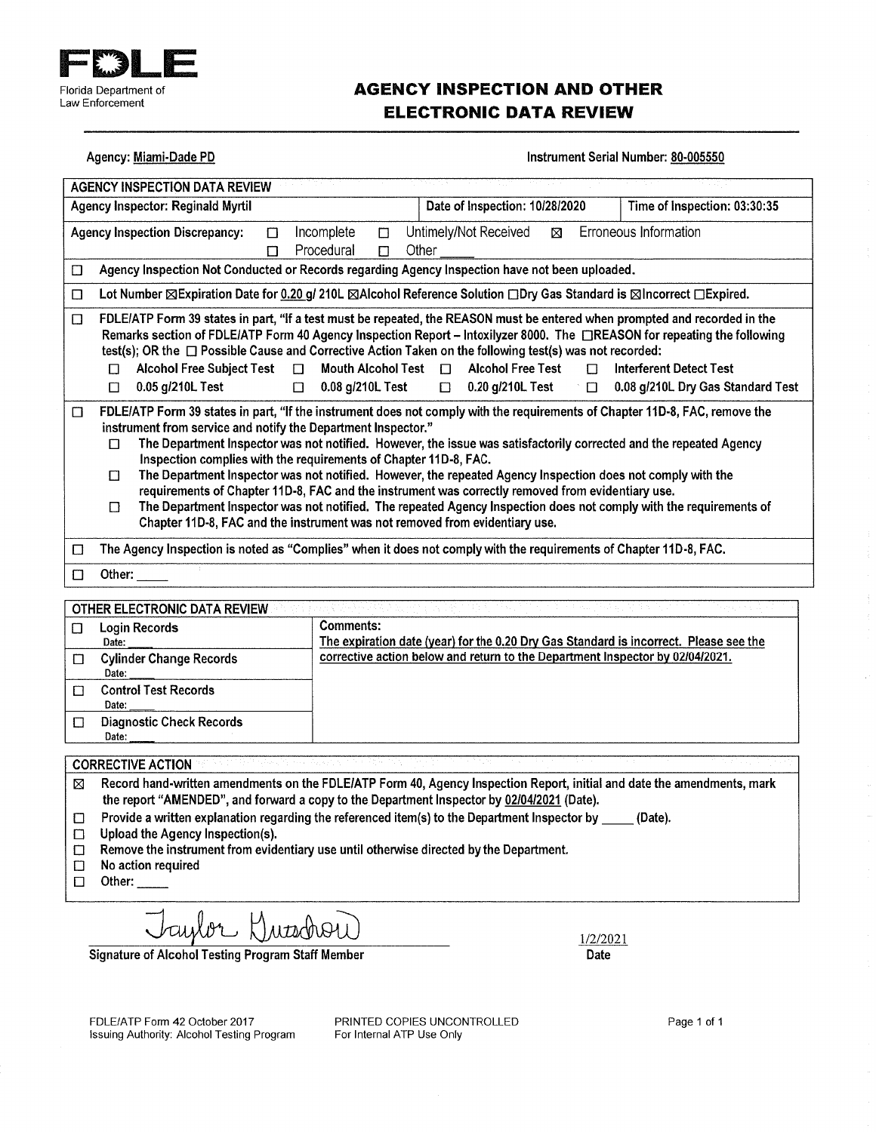

## **AGENCY INSPECTION AND OTHER ELECTRONIC DATA REVIEW**

#### Agency: Miami-Dade PD

#### Instrument Serial Number: 80-005550

| <b>AGENCY INSPECTION DATA REVIEW</b>                                                                                                                                                                                                                                                                                                                                                                                                                                                                                                                                                                                                                                                                                                                                                                                                               |                                               |                                                                               |                  |                                                                                       |
|----------------------------------------------------------------------------------------------------------------------------------------------------------------------------------------------------------------------------------------------------------------------------------------------------------------------------------------------------------------------------------------------------------------------------------------------------------------------------------------------------------------------------------------------------------------------------------------------------------------------------------------------------------------------------------------------------------------------------------------------------------------------------------------------------------------------------------------------------|-----------------------------------------------|-------------------------------------------------------------------------------|------------------|---------------------------------------------------------------------------------------|
| <b>Agency Inspector: Reginald Myrtil</b>                                                                                                                                                                                                                                                                                                                                                                                                                                                                                                                                                                                                                                                                                                                                                                                                           |                                               | Date of Inspection: 10/28/2020                                                |                  | Time of Inspection: 03:30:35                                                          |
| <b>Agency Inspection Discrepancy:</b><br>$\Box$<br>$\Box$                                                                                                                                                                                                                                                                                                                                                                                                                                                                                                                                                                                                                                                                                                                                                                                          | Incomplete<br>$\Box$<br>Procedural<br>$\Box$  | Untimely/Not Received<br>Other                                                | ⊠                | Erroneous Information                                                                 |
| Agency Inspection Not Conducted or Records regarding Agency Inspection have not been uploaded.<br>$\Box$                                                                                                                                                                                                                                                                                                                                                                                                                                                                                                                                                                                                                                                                                                                                           |                                               |                                                                               |                  |                                                                                       |
| Lot Number ⊠Expiration Date for 0.20 g/ 210L ⊠Alcohol Reference Solution □Dry Gas Standard is ⊠Incorrect □Expired.<br>$\Box$                                                                                                                                                                                                                                                                                                                                                                                                                                                                                                                                                                                                                                                                                                                       |                                               |                                                                               |                  |                                                                                       |
| FDLE/ATP Form 39 states in part, "If a test must be repeated, the REASON must be entered when prompted and recorded in the<br>$\Box$<br>Remarks section of FDLE/ATP Form 40 Agency Inspection Report - Intoxilyzer 8000. The CREASON for repeating the following<br>test(s); OR the <sub>D</sub> Possible Cause and Corrective Action Taken on the following test(s) was not recorded:<br><b>Alcohol Free Subject Test</b><br>$\Box$<br>П<br>0.05 g/210L Test<br>$\Box$<br>$\Box$                                                                                                                                                                                                                                                                                                                                                                  | Mouth Alcohol Test $\Box$<br>0.08 g/210L Test | <b>Alcohol Free Test</b><br>0.20 g/210L Test<br>$\Box$                        | $\Box$<br>$\Box$ | <b>Interferent Detect Test</b><br>0.08 g/210L Dry Gas Standard Test                   |
| FDLE/ATP Form 39 states in part, "If the instrument does not comply with the requirements of Chapter 11D-8, FAC, remove the<br>$\Box$<br>instrument from service and notify the Department Inspector."<br>The Department Inspector was not notified. However, the issue was satisfactorily corrected and the repeated Agency<br>П<br>Inspection complies with the requirements of Chapter 11D-8, FAC.<br>The Department Inspector was not notified. However, the repeated Agency Inspection does not comply with the<br>$\Box$<br>requirements of Chapter 11D-8, FAC and the instrument was correctly removed from evidentiary use.<br>The Department Inspector was not notified. The repeated Agency Inspection does not comply with the requirements of<br>$\Box$<br>Chapter 11D-8, FAC and the instrument was not removed from evidentiary use. |                                               |                                                                               |                  |                                                                                       |
| The Agency Inspection is noted as "Complies" when it does not comply with the requirements of Chapter 11D-8, FAC.<br>□                                                                                                                                                                                                                                                                                                                                                                                                                                                                                                                                                                                                                                                                                                                             |                                               |                                                                               |                  |                                                                                       |
| Other:<br>□                                                                                                                                                                                                                                                                                                                                                                                                                                                                                                                                                                                                                                                                                                                                                                                                                                        |                                               |                                                                               |                  |                                                                                       |
| OTHER ELECTRONIC DATA REVIEW<br>Login Records<br>$\Box$<br>Date:<br><b>Cylinder Change Records</b><br>□<br>Date:                                                                                                                                                                                                                                                                                                                                                                                                                                                                                                                                                                                                                                                                                                                                   | <b>Comments:</b>                              | corrective action below and return to the Department Inspector by 02/04/2021. |                  | The expiration date (year) for the 0.20 Dry Gas Standard is incorrect. Please see the |
| <b>Control Test Records</b><br>□<br>Date:                                                                                                                                                                                                                                                                                                                                                                                                                                                                                                                                                                                                                                                                                                                                                                                                          |                                               |                                                                               |                  |                                                                                       |
| <b>Diagnostic Check Records</b><br>$\Box$<br>Date:                                                                                                                                                                                                                                                                                                                                                                                                                                                                                                                                                                                                                                                                                                                                                                                                 |                                               |                                                                               |                  |                                                                                       |
| <b>CORRECTIVE ACTION</b>                                                                                                                                                                                                                                                                                                                                                                                                                                                                                                                                                                                                                                                                                                                                                                                                                           |                                               |                                                                               |                  |                                                                                       |
| Record hand-written amendments on the FDLE/ATP Form 40, Agency Inspection Report, initial and date the amendments, mark<br>⊠                                                                                                                                                                                                                                                                                                                                                                                                                                                                                                                                                                                                                                                                                                                       |                                               |                                                                               |                  |                                                                                       |

the report "AMENDED", and forward a copy to the Department Inspector by 02/04/2021 (Date).

- Provide a written explanation regarding the referenced item(s) to the Department Inspector by \_\_\_\_\_ (Date).  $\Box$
- Upload the Agency Inspection(s).  $\Box$
- Remove the instrument from evidentiary use until otherwise directed by the Department.  $\Box$
- No action required  $\Box$
- Other:  $\Box$

Laylor Hussbow

**Signature of Alcohol Testing Program Staff Member** 

1/2/2021 Date

FDLE/ATP Form 42 October 2017 Issuing Authority: Alcohol Testing Program PRINTED COPIES UNCONTROLLED For Internal ATP Use Only

Page 1 of 1